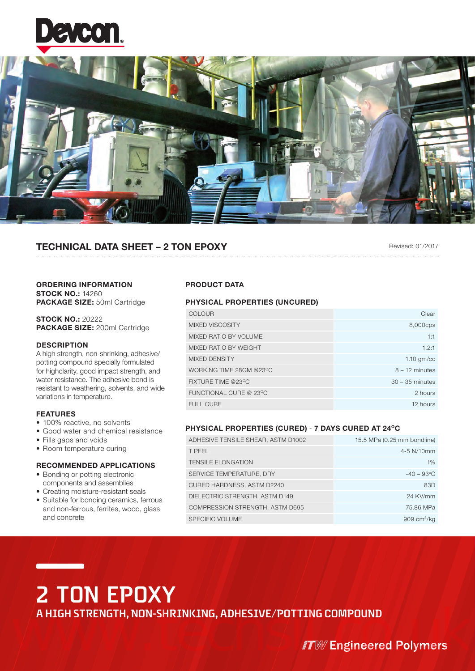



## TECHNICAL DATA SHEET – 2 TON EPOXY

Revised: 01/2017

### ORDERING INFORMATION **STOCK NO.: 14260** PACKAGE SIZE: 50ml Cartridge

STOCK NO.: 20222 PACKAGE SIZE: 200ml Cartridge

## **DESCRIPTION**

A high strength, non-shrinking, adhesive/ potting compound specially formulated for highclarity, good impact strength, and water resistance. The adhesive bond is resistant to weathering, solvents, and wide variations in temperature.

## FEATURES

- 100% reactive, no solvents
- Good water and chemical resistance
- Fills gaps and voids
- Room temperature curing

## RECOMMENDED APPLICATIONS

- Bonding or potting electronic components and assemblies
- Creating moisture-resistant seals
- Suitable for bonding ceramics, ferrous and non-ferrous, ferrites, wood, glass and concrete

## PRODUCT DATA

## PHYSICAL PROPERTIES (UNCURED)

| COLOUR                  | Clear             |
|-------------------------|-------------------|
| <b>MIXED VISCOSITY</b>  | 8,000cps          |
| MIXED RATIO BY VOLUME   | 1:1               |
| MIXED RATIO BY WEIGHT   | 1.2:1             |
| <b>MIXED DENSITY</b>    | $1.10$ gm/cc      |
| WORKING TIME 28GM @23°C | $8 - 12$ minutes  |
| FIXTURE TIME @23°C      | $30 - 35$ minutes |
| FUNCTIONAL CURE @ 23°C  | 2 hours           |
| FULL CURE               | 12 hours          |

## PHYSICAL PROPERTIES (CURED) - 7 DAYS CURED AT 24°C

| ADHESIVE TENSILE SHEAR, ASTM D1002 | 15.5 MPa (0.25 mm bondline) |
|------------------------------------|-----------------------------|
| T PEEL                             | 4-5 N/10mm                  |
| <b>TENSILE ELONGATION</b>          | 1%                          |
| SERVICE TEMPERATURE, DRY           | $-40 - 93$ °C               |
| CURED HARDNESS, ASTM D2240         | 83D                         |
| DIELECTRIC STRENGTH, ASTM D149     | 24 KV/mm                    |
| COMPRESSION STRENGTH, ASTM D695    | 75.86 MPa                   |
| <b>SPECIFIC VOLUME</b>             | 909 cm $\frac{3}{kq}$       |

# **2 TON EPOXY**

**A HIGH STRENGTH, NON-SHRINKING, ADHESIVE/POTTING COMPOUND<br>Www.techsil.com/www.techsil.com/www.techsil.com/www.techsil.com/www.techsil.com/www.techsil.com/www.techsil.com/<br>Www.techsil.com/www.techsil.com/www.techsil.com/ww**